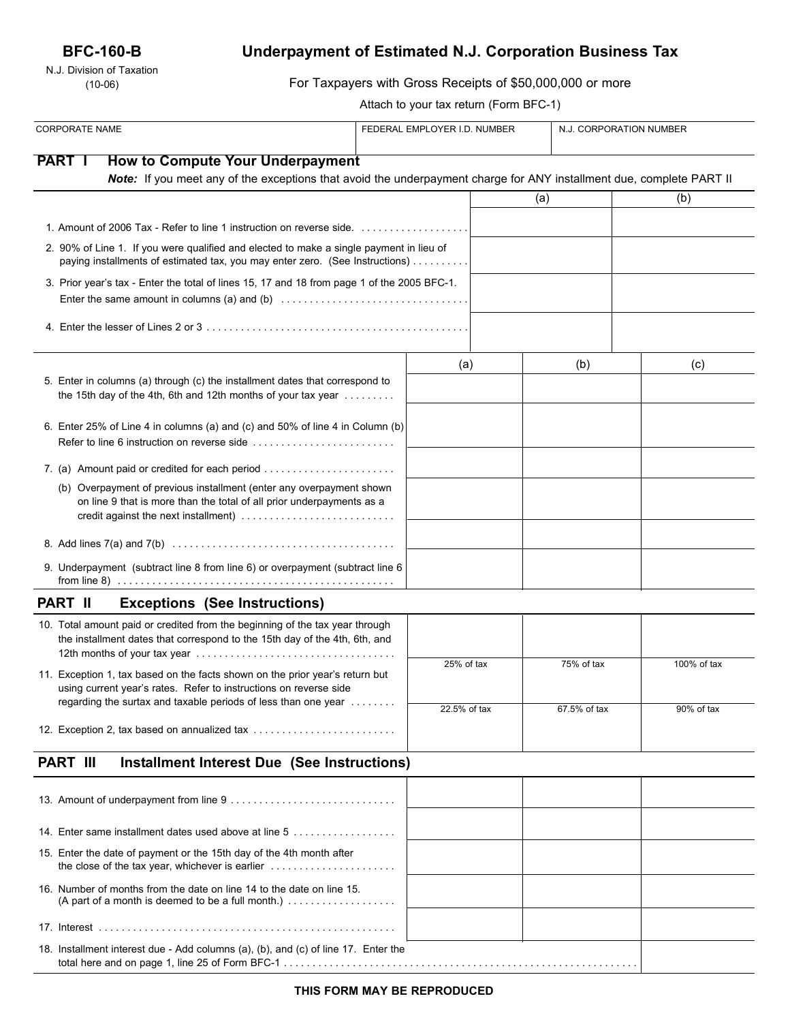# **BFC-160-B**

N.J. Division of Taxation (10-06)

# **Underpayment of Estimated N.J. Corporation Business Tax**

| ו ו ו ו ו ו ו ו מגמונות ו ו ו ו מגמונות<br>$(10-06)$                                                                                                                                  | For Taxpayers with Gross Receipts of \$50,000,000 or more |  |              |                         |  |
|---------------------------------------------------------------------------------------------------------------------------------------------------------------------------------------|-----------------------------------------------------------|--|--------------|-------------------------|--|
|                                                                                                                                                                                       | Attach to your tax return (Form BFC-1)                    |  |              |                         |  |
| <b>CORPORATE NAME</b>                                                                                                                                                                 | FEDERAL EMPLOYER I.D. NUMBER                              |  |              | N.J. CORPORATION NUMBER |  |
| <b>PART</b><br><b>How to Compute Your Underpayment</b>                                                                                                                                |                                                           |  |              |                         |  |
| Note: If you meet any of the exceptions that avoid the underpayment charge for ANY installment due, complete PART II                                                                  |                                                           |  |              |                         |  |
|                                                                                                                                                                                       |                                                           |  | (a)          | (b)                     |  |
|                                                                                                                                                                                       |                                                           |  |              |                         |  |
| 2. 90% of Line 1. If you were qualified and elected to make a single payment in lieu of<br>paying installments of estimated tax, you may enter zero. (See Instructions)               |                                                           |  |              |                         |  |
| 3. Prior year's tax - Enter the total of lines 15, 17 and 18 from page 1 of the 2005 BFC-1.                                                                                           |                                                           |  |              |                         |  |
|                                                                                                                                                                                       |                                                           |  |              |                         |  |
|                                                                                                                                                                                       | (a)                                                       |  | (b)          | (c)                     |  |
| 5. Enter in columns (a) through (c) the installment dates that correspond to<br>the 15th day of the 4th, 6th and 12th months of your tax year $\dots\dots\dots$                       |                                                           |  |              |                         |  |
| 6. Enter 25% of Line 4 in columns (a) and (c) and 50% of line 4 in Column (b)<br>Refer to line 6 instruction on reverse side                                                          |                                                           |  |              |                         |  |
| 7. (a) Amount paid or credited for each period                                                                                                                                        |                                                           |  |              |                         |  |
| (b) Overpayment of previous installment (enter any overpayment shown<br>on line 9 that is more than the total of all prior underpayments as a<br>credit against the next installment) |                                                           |  |              |                         |  |
|                                                                                                                                                                                       |                                                           |  |              |                         |  |
| 9. Underpayment (subtract line 8 from line 6) or overpayment (subtract line 6                                                                                                         |                                                           |  |              |                         |  |
| <b>PART II</b><br><b>Exceptions (See Instructions)</b>                                                                                                                                |                                                           |  |              |                         |  |
| 10. Total amount paid or credited from the beginning of the tax year through<br>the installment dates that correspond to the 15th day of the 4th, 6th, and                            |                                                           |  |              |                         |  |
| 11. Exception 1, tax based on the facts shown on the prior year's return but<br>using current year's rates. Refer to instructions on reverse side                                     | 25% of tax                                                |  | 75% of tax   | 100% of tax             |  |
| regarding the surtax and taxable periods of less than one year<br>12. Exception 2, tax based on annualized tax                                                                        | 22.5% of tax                                              |  | 67.5% of tax | 90% of tax              |  |
| <b>PART III</b><br>Installment Interest Due (See Instructions)                                                                                                                        |                                                           |  |              |                         |  |
|                                                                                                                                                                                       |                                                           |  |              |                         |  |
| 14. Enter same installment dates used above at line 5                                                                                                                                 |                                                           |  |              |                         |  |
| 15. Enter the date of payment or the 15th day of the 4th month after<br>the close of the tax year, whichever is earlier $\ldots \ldots \ldots \ldots \ldots \ldots$                   |                                                           |  |              |                         |  |
| 16. Number of months from the date on line 14 to the date on line 15.                                                                                                                 |                                                           |  |              |                         |  |
|                                                                                                                                                                                       |                                                           |  |              |                         |  |
| 18. Installment interest due - Add columns (a), (b), and (c) of line 17. Enter the                                                                                                    |                                                           |  |              |                         |  |

**THIS FORM MAY BE REPRODUCED**

total here and on page 1, line 25 of Form BFC-1 . . . . . . . . . . . . . . . . . . . . . . . . . . . . . . . . . . . . . . . . . . . . . . . . . . . . . . . . . . . . . .